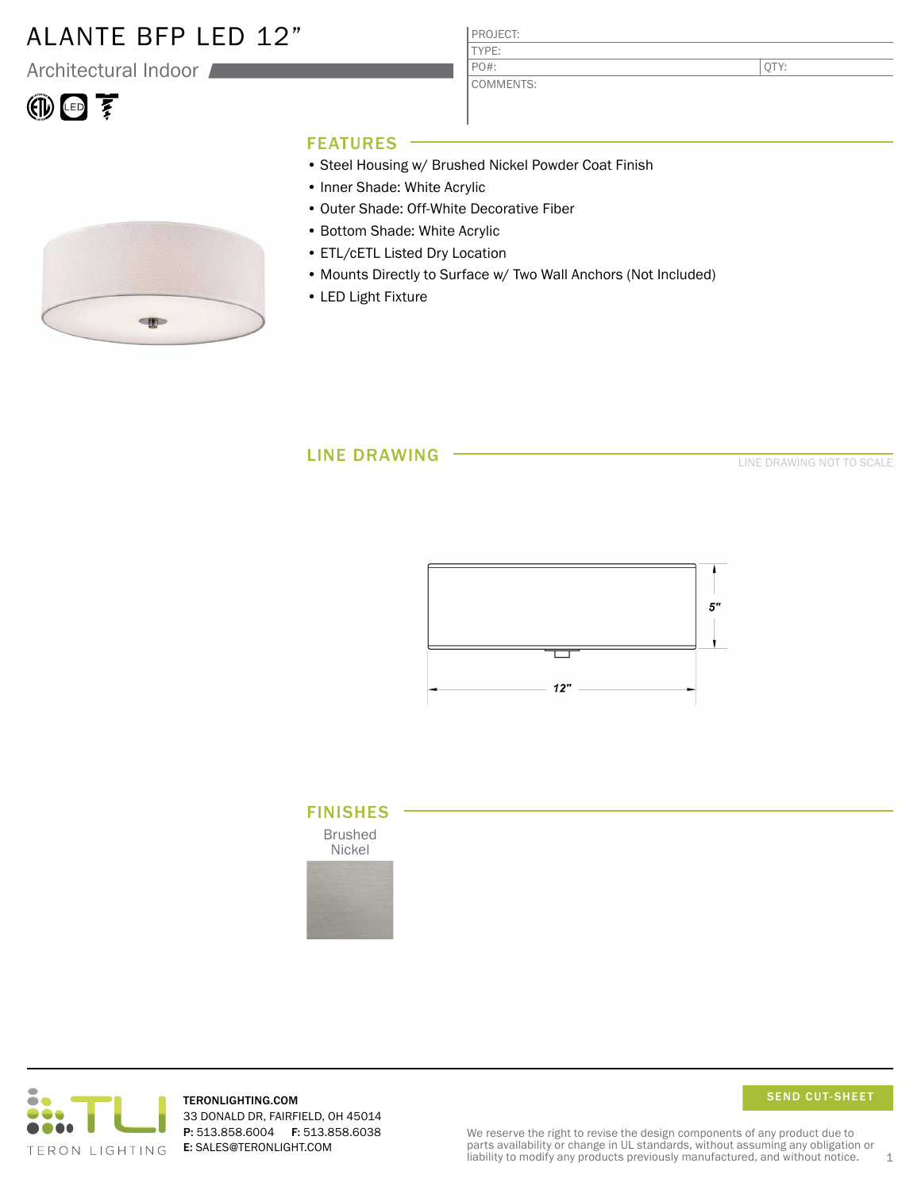## ALANTE BFP LED 12"

Architectural Indoor

# $\circledR$

PROJECT: TYPE:

COMMENTS: PO#:

QTY:

### FEATURES

- Steel Housing w/ Brushed Nickel Powder Coat Finish
- Inner Shade: White Acrylic
- Outer Shade: Off-White Decorative Fiber
- Bottom Shade: White Acrylic
- ETL/cETL Listed Dry Location
- Mounts Directly to Surface w/ Two Wall Anchors (Not Included)
- LED Light Fixture

### LINE DRAWING

LINE DRAWING NOT TO SCALE







TERONLIGHTING.COM 33 DONALD DR, FAIRFIELD, OH 45014 P: 513.858.6004 F: 513.858.6038 E: SALES@TERONLIGHT.COM



We reserve the right to revise the design components of any product due to parts availability or change in UL standards, without assuming any obligation or liability to modify any products previously manufactured, and without notice.  $1$